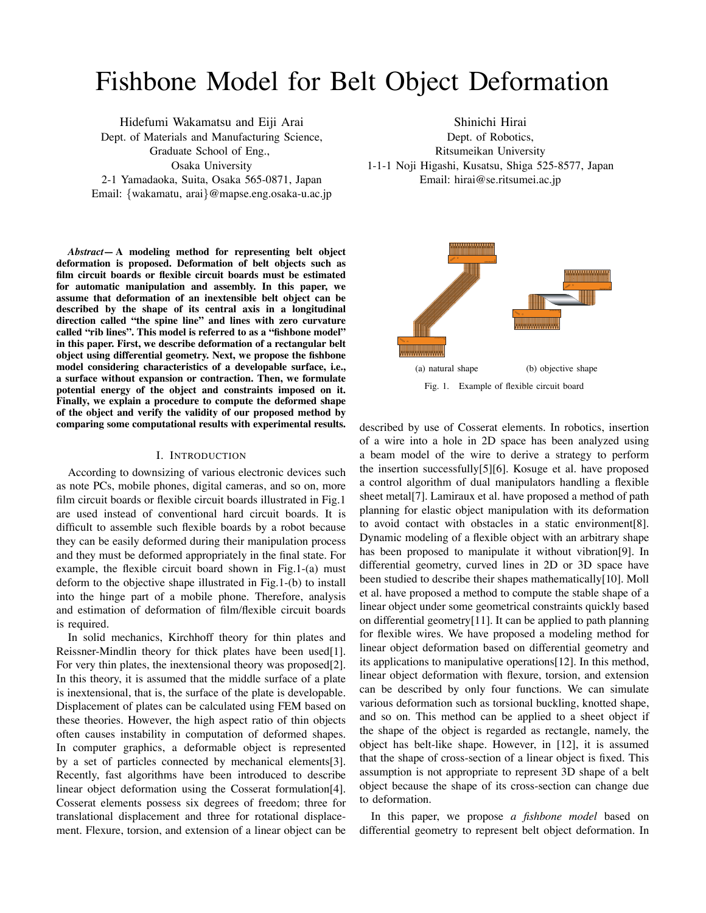# Fishbone Model for Belt Object Deformation

Hidefumi Wakamatsu and Eiji Arai Dept. of Materials and Manufacturing Science, Graduate School of Eng., Osaka University 2-1 Yamadaoka, Suita, Osaka 565-0871, Japan Email: {wakamatu, arai}@mapse.eng.osaka-u.ac.jp

*Abstract***— A modeling method for representing belt object deformation is proposed. Deformation of belt objects such as film circuit boards or flexible circuit boards must be estimated for automatic manipulation and assembly. In this paper, we assume that deformation of an inextensible belt object can be described by the shape of its central axis in a longitudinal direction called "the spine line" and lines with zero curvature called "rib lines". This model is referred to as a "fishbone model" in this paper. First, we describe deformation of a rectangular belt object using differential geometry. Next, we propose the fishbone model considering characteristics of a developable surface, i.e., a surface without expansion or contraction. Then, we formulate potential energy of the object and constraints imposed on it. Finally, we explain a procedure to compute the deformed shape of the object and verify the validity of our proposed method by comparing some computational results with experimental results.**

#### I. INTRODUCTION

According to downsizing of various electronic devices such as note PCs, mobile phones, digital cameras, and so on, more film circuit boards or flexible circuit boards illustrated in Fig.1 are used instead of conventional hard circuit boards. It is difficult to assemble such flexible boards by a robot because they can be easily deformed during their manipulation process and they must be deformed appropriately in the final state. For example, the flexible circuit board shown in Fig.1-(a) must deform to the objective shape illustrated in Fig.1-(b) to install into the hinge part of a mobile phone. Therefore, analysis and estimation of deformation of film/flexible circuit boards is required.

In solid mechanics, Kirchhoff theory for thin plates and Reissner-Mindlin theory for thick plates have been used[1]. For very thin plates, the inextensional theory was proposed[2]. In this theory, it is assumed that the middle surface of a plate is inextensional, that is, the surface of the plate is developable. Displacement of plates can be calculated using FEM based on these theories. However, the high aspect ratio of thin objects often causes instability in computation of deformed shapes. In computer graphics, a deformable object is represented by a set of particles connected by mechanical elements[3]. Recently, fast algorithms have been introduced to describe linear object deformation using the Cosserat formulation[4]. Cosserat elements possess six degrees of freedom; three for translational displacement and three for rotational displacement. Flexure, torsion, and extension of a linear object can be

Shinichi Hirai Dept. of Robotics, Ritsumeikan University 1-1-1 Noji Higashi, Kusatsu, Shiga 525-8577, Japan Email: hirai@se.ritsumei.ac.jp



described by use of Cosserat elements. In robotics, insertion of a wire into a hole in 2D space has been analyzed using a beam model of the wire to derive a strategy to perform the insertion successfully[5][6]. Kosuge et al. have proposed a control algorithm of dual manipulators handling a flexible sheet metal[7]. Lamiraux et al. have proposed a method of path planning for elastic object manipulation with its deformation to avoid contact with obstacles in a static environment[8]. Dynamic modeling of a flexible object with an arbitrary shape has been proposed to manipulate it without vibration[9]. In differential geometry, curved lines in 2D or 3D space have been studied to describe their shapes mathematically[10]. Moll et al. have proposed a method to compute the stable shape of a linear object under some geometrical constraints quickly based on differential geometry[11]. It can be applied to path planning for flexible wires. We have proposed a modeling method for linear object deformation based on differential geometry and its applications to manipulative operations[12]. In this method, linear object deformation with flexure, torsion, and extension can be described by only four functions. We can simulate various deformation such as torsional buckling, knotted shape, and so on. This method can be applied to a sheet object if the shape of the object is regarded as rectangle, namely, the object has belt-like shape. However, in [12], it is assumed that the shape of cross-section of a linear object is fixed. This assumption is not appropriate to represent 3D shape of a belt object because the shape of its cross-section can change due to deformation.

In this paper, we propose *a fishbone model* based on differential geometry to represent belt object deformation. In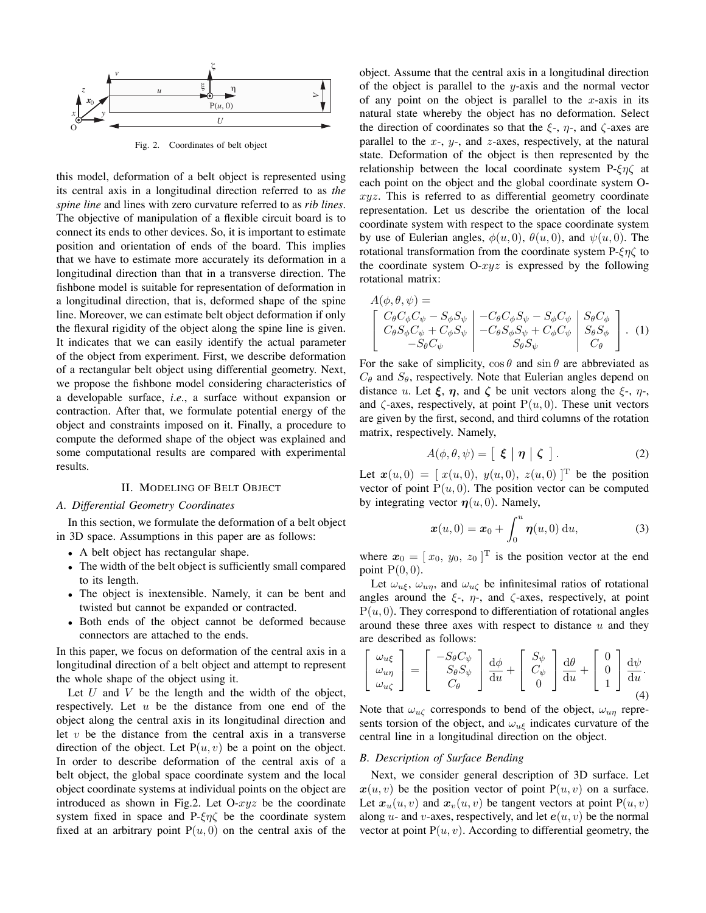

Fig. 2. Coordinates of belt object

this model, deformation of a belt object is represented using its central axis in a longitudinal direction referred to as *the spine line* and lines with zero curvature referred to as *rib lines*. The objective of manipulation of a flexible circuit board is to connect its ends to other devices. So, it is important to estimate position and orientation of ends of the board. This implies that we have to estimate more accurately its deformation in a longitudinal direction than that in a transverse direction. The fishbone model is suitable for representation of deformation in a longitudinal direction, that is, deformed shape of the spine line. Moreover, we can estimate belt object deformation if only the flexural rigidity of the object along the spine line is given. It indicates that we can easily identify the actual parameter of the object from experiment. First, we describe deformation of a rectangular belt object using differential geometry. Next, we propose the fishbone model considering characteristics of a developable surface, *i.e.*, a surface without expansion or contraction. After that, we formulate potential energy of the object and constraints imposed on it. Finally, a procedure to compute the deformed shape of the object was explained and some computational results are compared with experimental results.

# II. MODELING OF BELT OBJECT

## *A. Differential Geometry Coordinates*

In this section, we formulate the deformation of a belt object in 3D space. Assumptions in this paper are as follows:

- A belt object has rectangular shape.
- The width of the belt object is sufficiently small compared to its length.
- The object is inextensible. Namely, it can be bent and twisted but cannot be expanded or contracted.
- Both ends of the object cannot be deformed because connectors are attached to the ends.

In this paper, we focus on deformation of the central axis in a longitudinal direction of a belt object and attempt to represent the whole shape of the object using it.

Let  $U$  and  $V$  be the length and the width of the object, respectively. Let  $u$  be the distance from one end of the object along the central axis in its longitudinal direction and let  $v$  be the distance from the central axis in a transverse direction of the object. Let  $P(u, v)$  be a point on the object. In order to describe deformation of the central axis of a belt object, the global space coordinate system and the local object coordinate systems at individual points on the object are introduced as shown in Fig.2. Let  $O\text{-}xyz$  be the coordinate system fixed in space and P- $\xi \eta \zeta$  be the coordinate system fixed at an arbitrary point  $P(u, 0)$  on the central axis of the

object. Assume that the central axis in a longitudinal direction of the object is parallel to the  $y$ -axis and the normal vector of any point on the object is parallel to the x-axis in its natural state whereby the object has no deformation. Select the direction of coordinates so that the  $\xi$ -,  $\eta$ -, and  $\zeta$ -axes are parallel to the  $x$ -,  $y$ -, and  $z$ -axes, respectively, at the natural state. Deformation of the object is then represented by the relationship between the local coordinate system  $P-\xi\eta\zeta$  at each point on the object and the global coordinate system O $xyz$ . This is referred to as differential geometry coordinate representation. Let us describe the orientation of the local coordinate system with respect to the space coordinate system by use of Eulerian angles,  $\phi(u, 0)$ ,  $\theta(u, 0)$ , and  $\psi(u, 0)$ . The rotational transformation from the coordinate system  $P-\epsilon n\zeta$  to the coordinate system  $Q\text{-}xyz$  is expressed by the following rotational matrix:

$$
A(\phi, \theta, \psi) =
$$
\n
$$
\begin{bmatrix}\nC_{\theta}C_{\phi}C_{\psi} - S_{\phi}S_{\psi} & -C_{\theta}C_{\phi}S_{\psi} - S_{\phi}C_{\psi} & S_{\theta}C_{\phi} \\
C_{\theta}S_{\phi}C_{\psi} + C_{\phi}S_{\psi} & -C_{\theta}S_{\phi}S_{\psi} + C_{\phi}C_{\psi} & S_{\theta}S_{\phi} \\
-S_{\theta}C_{\psi} & S_{\theta}S_{\psi} & C_{\theta}\n\end{bmatrix}.
$$
\n(1)

For the sake of simplicity,  $\cos \theta$  and  $\sin \theta$  are abbreviated as  $C_{\theta}$  and  $S_{\theta}$ , respectively. Note that Eulerian angles depend on distance u. Let  $\xi$ ,  $\eta$ , and  $\zeta$  be unit vectors along the  $\xi$ -,  $\eta$ -, and  $\zeta$ -axes, respectively, at point  $P(u, 0)$ . These unit vectors are given by the first, second, and third columns of the rotation matrix, respectively. Namely,

$$
A(\phi, \theta, \psi) = \left[ \xi \mid \eta \mid \zeta \right]. \tag{2}
$$

Let  $x(u, 0) = [x(u, 0), y(u, 0), z(u, 0)]^T$  be the position vector of point  $P(u, 0)$ . The position vector can be computed by integrating vector  $\eta(u, 0)$ . Namely,

$$
\boldsymbol{x}(u,0) = \boldsymbol{x}_0 + \int_0^u \boldsymbol{\eta}(u,0) \, \mathrm{d}u,\tag{3}
$$

where  $x_0 = [x_0, y_0, z_0]^T$  is the position vector at the end point  $P(0, 0)$ .

Let  $\omega_{u\xi}$ ,  $\omega_{u\eta}$ , and  $\omega_{u\zeta}$  be infinitesimal ratios of rotational angles around the  $\xi$ -,  $\eta$ -, and  $\zeta$ -axes, respectively, at point  $P(u, 0)$ . They correspond to differentiation of rotational angles around these three axes with respect to distance  $u$  and they are described as follows:

$$
\begin{bmatrix} \omega_{u\xi} \\ \omega_{u\eta} \\ \omega_{u\zeta} \end{bmatrix} = \begin{bmatrix} -S_{\theta}C_{\psi} \\ S_{\theta}S_{\psi} \\ C_{\theta} \end{bmatrix} \frac{\mathrm{d}\phi}{\mathrm{d}u} + \begin{bmatrix} S_{\psi} \\ C_{\psi} \\ 0 \end{bmatrix} \frac{\mathrm{d}\theta}{\mathrm{d}u} + \begin{bmatrix} 0 \\ 0 \\ 1 \end{bmatrix} \frac{\mathrm{d}\psi}{\mathrm{d}u}.
$$
 (4)

Note that  $\omega_{u\zeta}$  corresponds to bend of the object,  $\omega_{u\eta}$  represents torsion of the object, and  $\omega_{u\xi}$  indicates curvature of the central line in a longitudinal direction on the object.

# *B. Description of Surface Bending*

Next, we consider general description of 3D surface. Let  $x(u, v)$  be the position vector of point  $P(u, v)$  on a surface. Let  $x_u(u, v)$  and  $x_v(u, v)$  be tangent vectors at point  $P(u, v)$ along  $u$ - and  $v$ -axes, respectively, and let  $e(u, v)$  be the normal vector at point  $P(u, v)$ . According to differential geometry, the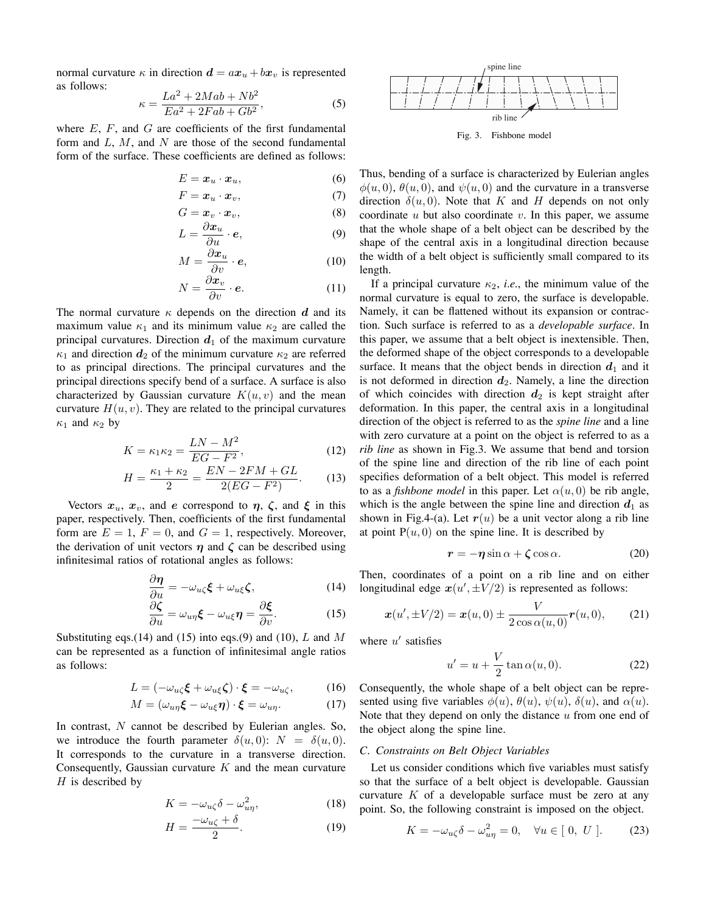normal curvature  $\kappa$  in direction  $\boldsymbol{d} = a x_u + b x_v$  is represented as follows:

$$
\kappa = \frac{La^2 + 2Mab + Nb^2}{Ea^2 + 2Fab + Gb^2},\tag{5}
$$

where  $E$ ,  $F$ , and  $G$  are coefficients of the first fundamental form and  $L, M$ , and  $N$  are those of the second fundamental form of the surface. These coefficients are defined as follows:

$$
E = \boldsymbol{x}_u \cdot \boldsymbol{x}_u,\tag{6}
$$

$$
F = \boldsymbol{x}_u \cdot \boldsymbol{x}_v,\tag{7}
$$

$$
G = \boldsymbol{x}_v \cdot \boldsymbol{x}_v,\tag{8}
$$

$$
L = \frac{\partial x_u}{\partial u} \cdot e,\tag{9}
$$

$$
M = \frac{\partial x_u}{\partial v} \cdot e,
$$
 (10)

$$
N = \frac{\partial x_v}{\partial v} \cdot e. \tag{11}
$$

The normal curvature  $\kappa$  depends on the direction  $d$  and its maximum value  $\kappa_1$  and its minimum value  $\kappa_2$  are called the principal curvatures. Direction  $d_1$  of the maximum curvature  $\kappa_1$  and direction  $\boldsymbol{d}_2$  of the minimum curvature  $\kappa_2$  are referred to as principal directions. The principal curvatures and the principal directions specify bend of a surface. A surface is also characterized by Gaussian curvature  $K(u, v)$  and the mean curvature  $H(u, v)$ . They are related to the principal curvatures  $\kappa_1$  and  $\kappa_2$  by

$$
K = \kappa_1 \kappa_2 = \frac{LN - M^2}{EG - F^2},\tag{12}
$$

$$
H = \frac{\kappa_1 + \kappa_2}{2} = \frac{EN - 2FM + GL}{2(EG - F^2)}.
$$
 (13)

Vectors  $x_u$ ,  $x_v$ , and *e* correspond to  $\eta$ ,  $\zeta$ , and  $\xi$  in this paper, respectively. Then, coefficients of the first fundamental form are  $E = 1$ ,  $F = 0$ , and  $G = 1$ , respectively. Moreover, the derivation of unit vectors  $\eta$  and  $\zeta$  can be described using infinitesimal ratios of rotational angles as follows:

$$
\frac{\partial \eta}{\partial u} = -\omega_{u\zeta}\xi + \omega_{u\xi}\zeta, \qquad (14)
$$

$$
\frac{\partial \zeta}{\partial u} = \omega_{u\eta} \xi - \omega_{u\xi} \eta = \frac{\partial \xi}{\partial v}.
$$
 (15)

Substituting eqs.(14) and (15) into eqs.(9) and (10),  $L$  and  $M$ can be represented as a function of infinitesimal angle ratios as follows:

$$
L = (-\omega_{u\zeta}\boldsymbol{\xi} + \omega_{u\zeta}\boldsymbol{\zeta}) \cdot \boldsymbol{\xi} = -\omega_{u\zeta},\qquad(16)
$$

$$
M = (\omega_{u\eta}\boldsymbol{\xi} - \omega_{u\xi}\boldsymbol{\eta}) \cdot \boldsymbol{\xi} = \omega_{u\eta}.
$$
 (17)

In contrast, N cannot be described by Eulerian angles. So, we introduce the fourth parameter  $\delta(u, 0)$ :  $N = \delta(u, 0)$ . It corresponds to the curvature in a transverse direction. Consequently, Gaussian curvature  $K$  and the mean curvature  $H$  is described by

$$
K = -\omega_{u\zeta}\delta - \omega_{u\eta}^2,\tag{18}
$$

$$
H = \frac{-\omega_{u\zeta} + \theta}{2}.\tag{19}
$$



Fig. 3. Fishbone model

Thus, bending of a surface is characterized by Eulerian angles  $\phi(u, 0), \theta(u, 0)$ , and  $\psi(u, 0)$  and the curvature in a transverse direction  $\delta(u, 0)$ . Note that K and H depends on not only coordinate  $u$  but also coordinate  $v$ . In this paper, we assume that the whole shape of a belt object can be described by the shape of the central axis in a longitudinal direction because the width of a belt object is sufficiently small compared to its length.

If a principal curvature  $\kappa_2$ , *i.e.*, the minimum value of the normal curvature is equal to zero, the surface is developable. Namely, it can be flattened without its expansion or contraction. Such surface is referred to as a *developable surface*. In this paper, we assume that a belt object is inextensible. Then, the deformed shape of the object corresponds to a developable surface. It means that the object bends in direction  $d_1$  and it is not deformed in direction  $d_2$ . Namely, a line the direction of which coincides with direction  $d_2$  is kept straight after deformation. In this paper, the central axis in a longitudinal direction of the object is referred to as the *spine line* and a line with zero curvature at a point on the object is referred to as a *rib line* as shown in Fig.3. We assume that bend and torsion of the spine line and direction of the rib line of each point specifies deformation of a belt object. This model is referred to as a *fishbone model* in this paper. Let  $\alpha(u, 0)$  be rib angle, which is the angle between the spine line and direction  $d_1$  as shown in Fig.4-(a). Let  $r(u)$  be a unit vector along a rib line at point  $P(u, 0)$  on the spine line. It is described by

$$
r = -\eta \sin \alpha + \zeta \cos \alpha. \tag{20}
$$

Then, coordinates of a point on a rib line and on either longitudinal edge  $x(u', \pm V/2)$  is represented as follows:

$$
\boldsymbol{x}(u', \pm V/2) = \boldsymbol{x}(u, 0) \pm \frac{V}{2\cos\alpha(u, 0)} \boldsymbol{r}(u, 0), \qquad (21)
$$

where  $u'$  satisfies

$$
u' = u + \frac{V}{2} \tan \alpha(u, 0).
$$
 (22)

Consequently, the whole shape of a belt object can be represented using five variables  $\phi(u)$ ,  $\theta(u)$ ,  $\psi(u)$ ,  $\delta(u)$ , and  $\alpha(u)$ . Note that they depend on only the distance  $u$  from one end of the object along the spine line.

## *C. Constraints on Belt Object Variables*

Let us consider conditions which five variables must satisfy so that the surface of a belt object is developable. Gaussian curvature  $K$  of a developable surface must be zero at any point. So, the following constraint is imposed on the object.

$$
K = -\omega_{u\zeta}\delta - \omega_{u\eta}^2 = 0, \quad \forall u \in [0, U]. \tag{23}
$$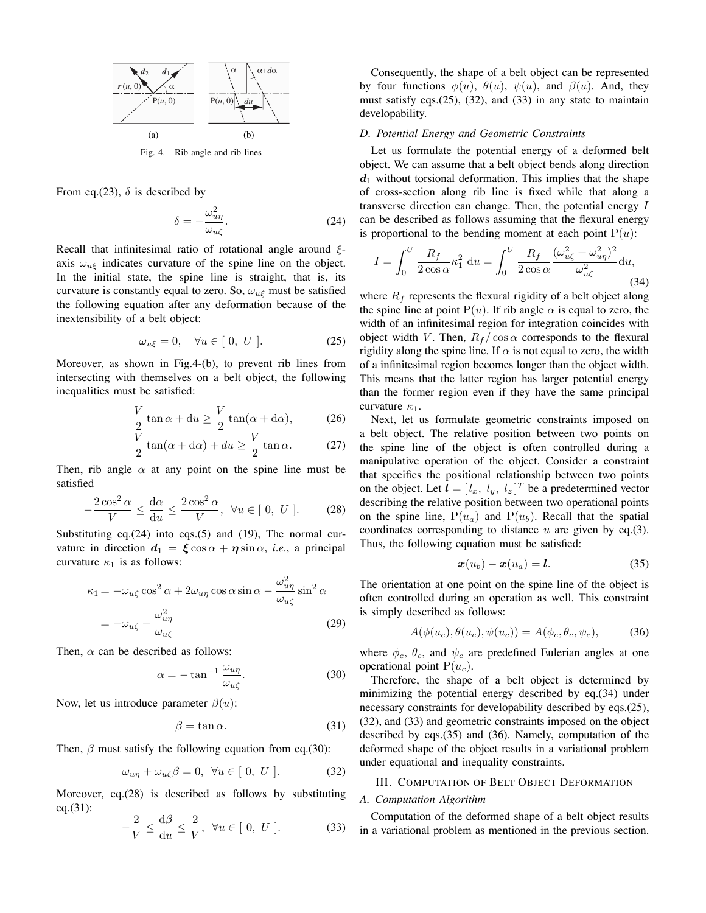

Fig. 4. Rib angle and rib lines

From eq.(23),  $\delta$  is described by

$$
\delta = -\frac{\omega_{u\eta}^2}{\omega_{u\zeta}}.\tag{24}
$$

Recall that infinitesimal ratio of rotational angle around  $\xi$ axis  $\omega_{u\xi}$  indicates curvature of the spine line on the object. In the initial state, the spine line is straight, that is, its curvature is constantly equal to zero. So,  $\omega_{u\xi}$  must be satisfied the following equation after any deformation because of the inextensibility of a belt object:

$$
\omega_{u\xi} = 0, \quad \forall u \in [0, U]. \tag{25}
$$

Moreover, as shown in Fig.4-(b), to prevent rib lines from intersecting with themselves on a belt object, the following inequalities must be satisfied:

$$
\frac{V}{2}\tan\alpha + \mathrm{d}u \ge \frac{V}{2}\tan(\alpha + \mathrm{d}\alpha),\tag{26}
$$

$$
\frac{\overline{V}}{2}\tan(\alpha + \mathrm{d}\alpha) + du \ge \frac{V}{2}\tan\alpha. \tag{27}
$$

Then, rib angle  $\alpha$  at any point on the spine line must be satisfied

$$
-\frac{2\cos^2\alpha}{V} \le \frac{d\alpha}{du} \le \frac{2\cos^2\alpha}{V}, \ \forall u \in [0, U].
$$
 (28)

Substituting eq. $(24)$  into eqs. $(5)$  and  $(19)$ . The normal curvature in direction  $d_1 = \xi \cos \alpha + \eta \sin \alpha$ , *i.e.*, a principal curvature  $\kappa_1$  is as follows:

$$
\kappa_1 = -\omega_{u\zeta} \cos^2 \alpha + 2\omega_{u\eta} \cos \alpha \sin \alpha - \frac{\omega_{u\eta}^2}{\omega_{u\zeta}} \sin^2 \alpha
$$

$$
= -\omega_{u\zeta} - \frac{\omega_{u\eta}^2}{\omega_{u\zeta}}
$$
(29)

Then,  $\alpha$  can be described as follows:

$$
\alpha = -\tan^{-1} \frac{\omega_{u\eta}}{\omega_{u\zeta}}.
$$
 (30)

Now, let us introduce parameter  $\beta(u)$ :

$$
\beta = \tan \alpha. \tag{31}
$$

Then,  $\beta$  must satisfy the following equation from eq.(30):

$$
\omega_{u\eta} + \omega_{u\zeta}\beta = 0, \ \forall u \in [0, U]. \tag{32}
$$

Moreover, eq.(28) is described as follows by substituting eq.(31):

$$
-\frac{2}{V} \le \frac{\mathrm{d}\beta}{\mathrm{d}u} \le \frac{2}{V}, \ \forall u \in [0, U]. \tag{33}
$$

Consequently, the shape of a belt object can be represented by four functions  $\phi(u)$ ,  $\theta(u)$ ,  $\psi(u)$ , and  $\beta(u)$ . And, they must satisfy eqs.(25), (32), and (33) in any state to maintain developability.

# *D. Potential Energy and Geometric Constraints*

Let us formulate the potential energy of a deformed belt object. We can assume that a belt object bends along direction  $d_1$  without torsional deformation. This implies that the shape of cross-section along rib line is fixed while that along a transverse direction can change. Then, the potential energy I can be described as follows assuming that the flexural energy is proportional to the bending moment at each point  $P(u)$ :

$$
I = \int_0^U \frac{R_f}{2 \cos \alpha} \kappa_1^2 du = \int_0^U \frac{R_f}{2 \cos \alpha} \frac{(\omega_{u\zeta}^2 + \omega_{u\eta}^2)^2}{\omega_{u\zeta}^2} du,
$$
\n(34)

where  $R_f$  represents the flexural rigidity of a belt object along the spine line at point  $P(u)$ . If rib angle  $\alpha$  is equal to zero, the width of an infinitesimal region for integration coincides with object width V. Then,  $R_f / \cos \alpha$  corresponds to the flexural rigidity along the spine line. If  $\alpha$  is not equal to zero, the width of a infinitesimal region becomes longer than the object width. This means that the latter region has larger potential energy than the former region even if they have the same principal curvature  $\kappa_1$ .

Next, let us formulate geometric constraints imposed on a belt object. The relative position between two points on the spine line of the object is often controlled during a manipulative operation of the object. Consider a constraint that specifies the positional relationship between two points on the object. Let  $\vec{l} = [l_x, l_y, l_z]^T$  be a predetermined vector describing the relative position between two operational points on the spine line,  $P(u_a)$  and  $P(u_b)$ . Recall that the spatial coordinates corresponding to distance  $u$  are given by eq.(3). Thus, the following equation must be satisfied:

$$
\boldsymbol{x}(u_b) - \boldsymbol{x}(u_a) = \boldsymbol{l}.\tag{35}
$$

The orientation at one point on the spine line of the object is often controlled during an operation as well. This constraint is simply described as follows:

$$
A(\phi(u_c), \theta(u_c), \psi(u_c)) = A(\phi_c, \theta_c, \psi_c), \tag{36}
$$

where  $\phi_c$ ,  $\theta_c$ , and  $\psi_c$  are predefined Eulerian angles at one operational point  $P(u_c)$ .

Therefore, the shape of a belt object is determined by minimizing the potential energy described by eq.(34) under necessary constraints for developability described by eqs.(25), (32), and (33) and geometric constraints imposed on the object described by eqs.(35) and (36). Namely, computation of the deformed shape of the object results in a variational problem under equational and inequality constraints.

# III. COMPUTATION OF BELT OBJECT DEFORMATION

#### *A. Computation Algorithm*

Computation of the deformed shape of a belt object results in a variational problem as mentioned in the previous section.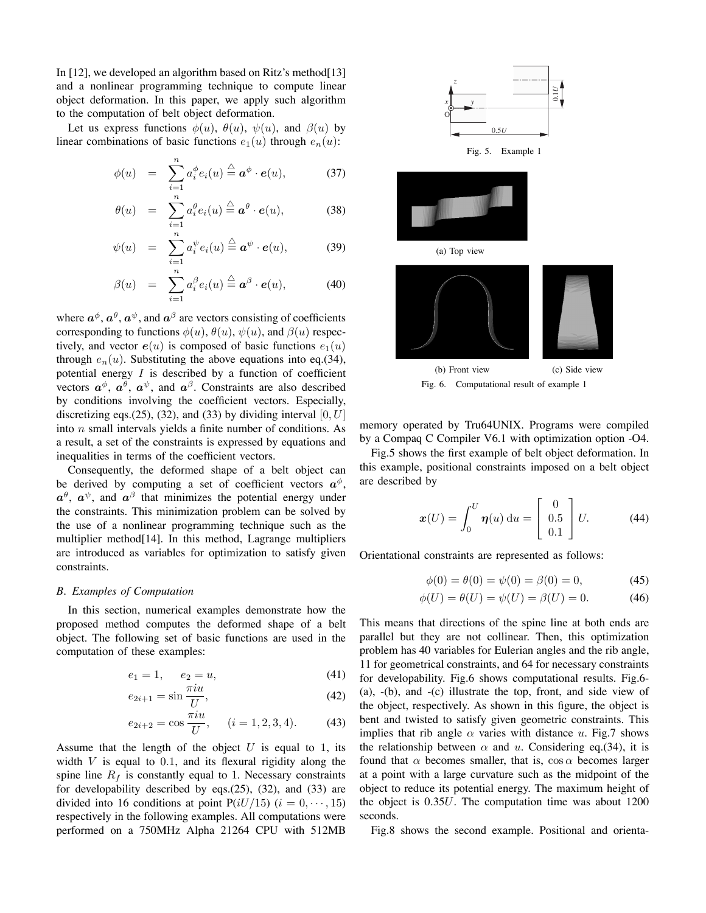In [12], we developed an algorithm based on Ritz's method [13] and a nonlinear programming technique to compute linear object deformation. In this paper, we apply such algorithm to the computation of belt object deformation.

Let us express functions  $\phi(u)$ ,  $\theta(u)$ ,  $\psi(u)$ , and  $\beta(u)$  by linear combinations of basic functions  $e_1(u)$  through  $e_n(u)$ :

$$
\phi(u) = \sum_{i=1}^{n} a_i^{\phi} e_i(u) \stackrel{\triangle}{=} \mathbf{a}^{\phi} \cdot \mathbf{e}(u), \quad (37)
$$

$$
\theta(u) = \sum_{i=1}^{n} a_i^{\theta} e_i(u) \stackrel{\triangle}{=} \mathbf{a}^{\theta} \cdot \mathbf{e}(u), \quad (38)
$$

$$
\psi(u) = \sum_{i=1}^{n} a_i^{\psi} e_i(u) \stackrel{\triangle}{=} \mathbf{a}^{\psi} \cdot \mathbf{e}(u), \quad (39)
$$

$$
\beta(u) = \sum_{i=1}^{n} a_i^{\beta} e_i(u) \stackrel{\triangle}{=} \mathbf{a}^{\beta} \cdot \mathbf{e}(u), \tag{40}
$$

where  $a^{\phi}$ ,  $a^{\theta}$ ,  $a^{\psi}$ , and  $a^{\beta}$  are vectors consisting of coefficients corresponding to functions  $\phi(u)$ ,  $\theta(u)$ ,  $\psi(u)$ , and  $\beta(u)$  respectively, and vector  $e(u)$  is composed of basic functions  $e_1(u)$ through  $e_n(u)$ . Substituting the above equations into eq.(34), potential energy  $I$  is described by a function of coefficient vectors  $a^{\phi}$ ,  $a^{\theta}$ ,  $a^{\psi}$ , and  $a^{\beta}$ . Constraints are also described by conditions involving the coefficient vectors. Especially, discretizing eqs.(25), (32), and (33) by dividing interval  $[0, U]$ into n small intervals yields a finite number of conditions. As a result, a set of the constraints is expressed by equations and inequalities in terms of the coefficient vectors.

Consequently, the deformed shape of a belt object can be derived by computing a set of coefficient vectors  $a^{\phi}$ ,  $a^{\theta}$ ,  $a^{\psi}$ , and  $a^{\beta}$  that minimizes the potential energy under the constraints. This minimization problem can be solved by the use of a nonlinear programming technique such as the multiplier method[14]. In this method, Lagrange multipliers are introduced as variables for optimization to satisfy given constraints.

# *B. Examples of Computation*

In this section, numerical examples demonstrate how the proposed method computes the deformed shape of a belt object. The following set of basic functions are used in the computation of these examples:

$$
e_1 = 1, \qquad e_2 = u,\tag{41}
$$

$$
e_{2i+1} = \sin \frac{\pi i u}{U},\tag{42}
$$

$$
e_{2i+2} = \cos \frac{\pi i u}{U}, \quad (i = 1, 2, 3, 4). \tag{43}
$$

Assume that the length of the object  $U$  is equal to 1, its width  $V$  is equal to 0.1, and its flexural rigidity along the spine line  $R_f$  is constantly equal to 1. Necessary constraints for developability described by eqs.(25), (32), and (33) are divided into 16 conditions at point  $P(iU/15)$   $(i = 0, \dots, 15)$ respectively in the following examples. All computations were performed on a 750MHz Alpha 21264 CPU with 512MB



Fig. 6. Computational result of example 1

memory operated by Tru64UNIX. Programs were compiled by a Compaq C Compiler V6.1 with optimization option -O4.

Fig.5 shows the first example of belt object deformation. In this example, positional constraints imposed on a belt object are described by

$$
\boldsymbol{x}(U) = \int_0^U \boldsymbol{\eta}(u) \, \mathrm{d}u = \begin{bmatrix} 0 \\ 0.5 \\ 0.1 \end{bmatrix} U. \tag{44}
$$

Orientational constraints are represented as follows:

$$
\phi(0) = \theta(0) = \psi(0) = \beta(0) = 0,
$$
\n(45)

$$
\phi(U) = \theta(U) = \psi(U) = \beta(U) = 0.
$$
 (46)

This means that directions of the spine line at both ends are parallel but they are not collinear. Then, this optimization problem has 40 variables for Eulerian angles and the rib angle, 11 for geometrical constraints, and 64 for necessary constraints for developability. Fig.6 shows computational results. Fig.6- (a), -(b), and -(c) illustrate the top, front, and side view of the object, respectively. As shown in this figure, the object is bent and twisted to satisfy given geometric constraints. This implies that rib angle  $\alpha$  varies with distance u. Fig.7 shows the relationship between  $\alpha$  and u. Considering eq.(34), it is found that  $\alpha$  becomes smaller, that is,  $\cos \alpha$  becomes larger at a point with a large curvature such as the midpoint of the object to reduce its potential energy. The maximum height of the object is 0.35U. The computation time was about 1200 seconds.

Fig.8 shows the second example. Positional and orienta-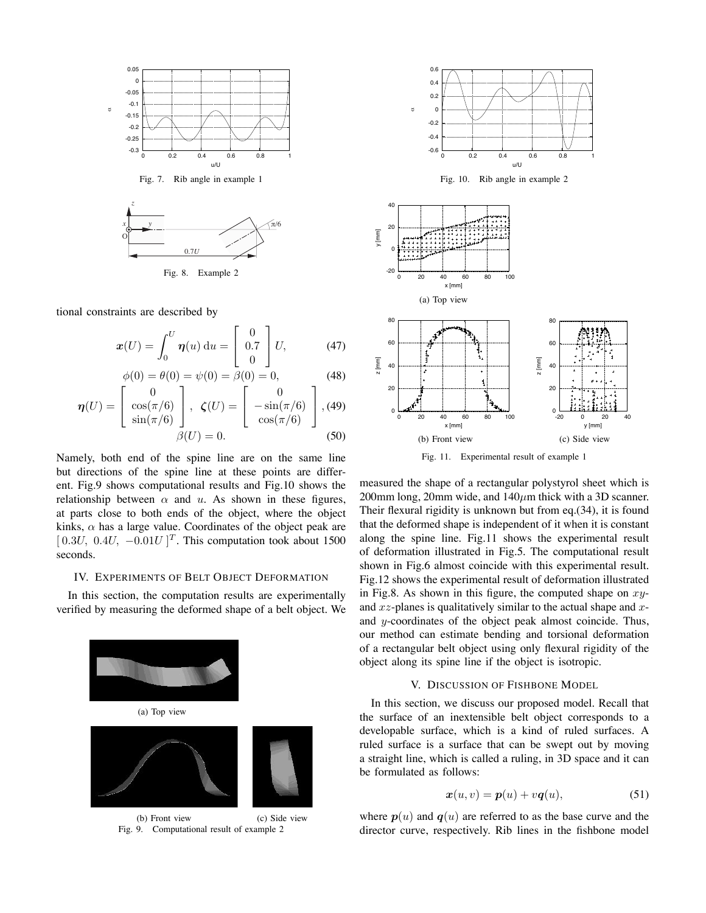

Fig. 8. Example 2

tional constraints are described by

$$
\boldsymbol{x}(U) = \int_0^U \boldsymbol{\eta}(u) \, \mathrm{d}u = \begin{bmatrix} 0 \\ 0.7 \\ 0 \end{bmatrix} U, \tag{47}
$$

$$
\phi(0) = \theta(0) = \psi(0) = \beta(0) = 0,
$$
\n(48)\n
$$
\begin{bmatrix}\n0 & 1 \\
0 & 1\n\end{bmatrix}
$$

$$
\eta(U) = \begin{bmatrix} 0 \\ \cos(\pi/6) \\ \sin(\pi/6) \end{bmatrix}, \zeta(U) = \begin{bmatrix} 0 \\ -\sin(\pi/6) \\ \cos(\pi/6) \end{bmatrix}, (49)
$$

$$
\beta(U) = 0.
$$
 (50)

Namely, both end of the spine line are on the same line but directions of the spine line at these points are different. Fig.9 shows computational results and Fig.10 shows the relationship between  $\alpha$  and  $u$ . As shown in these figures, at parts close to both ends of the object, where the object kinks,  $\alpha$  has a large value. Coordinates of the object peak are  $[0.3U, 0.4U, -0.01U]^T$ . This computation took about 1500 seconds.

#### IV. EXPERIMENTS OF BELT OBJECT DEFORMATION

In this section, the computation results are experimentally verified by measuring the deformed shape of a belt object. We



(b) Front view (c) Side view Fig. 9. Computational result of example 2



Fig. 11. Experimental result of example 1

measured the shape of a rectangular polystyrol sheet which is 200mm long, 20mm wide, and  $140 \mu$ m thick with a 3D scanner. Their flexural rigidity is unknown but from eq.(34), it is found that the deformed shape is independent of it when it is constant along the spine line. Fig.11 shows the experimental result of deformation illustrated in Fig.5. The computational result shown in Fig.6 almost coincide with this experimental result. Fig.12 shows the experimental result of deformation illustrated in Fig.8. As shown in this figure, the computed shape on  $xy$ and  $xz$ -planes is qualitatively similar to the actual shape and  $x$ and  $y$ -coordinates of the object peak almost coincide. Thus, our method can estimate bending and torsional deformation of a rectangular belt object using only flexural rigidity of the object along its spine line if the object is isotropic.

# V. DISCUSSION OF FISHBONE MODEL

In this section, we discuss our proposed model. Recall that the surface of an inextensible belt object corresponds to a developable surface, which is a kind of ruled surfaces. A ruled surface is a surface that can be swept out by moving a straight line, which is called a ruling, in 3D space and it can be formulated as follows:

$$
\boldsymbol{x}(u,v) = \boldsymbol{p}(u) + v\boldsymbol{q}(u),\tag{51}
$$

where  $p(u)$  and  $q(u)$  are referred to as the base curve and the director curve, respectively. Rib lines in the fishbone model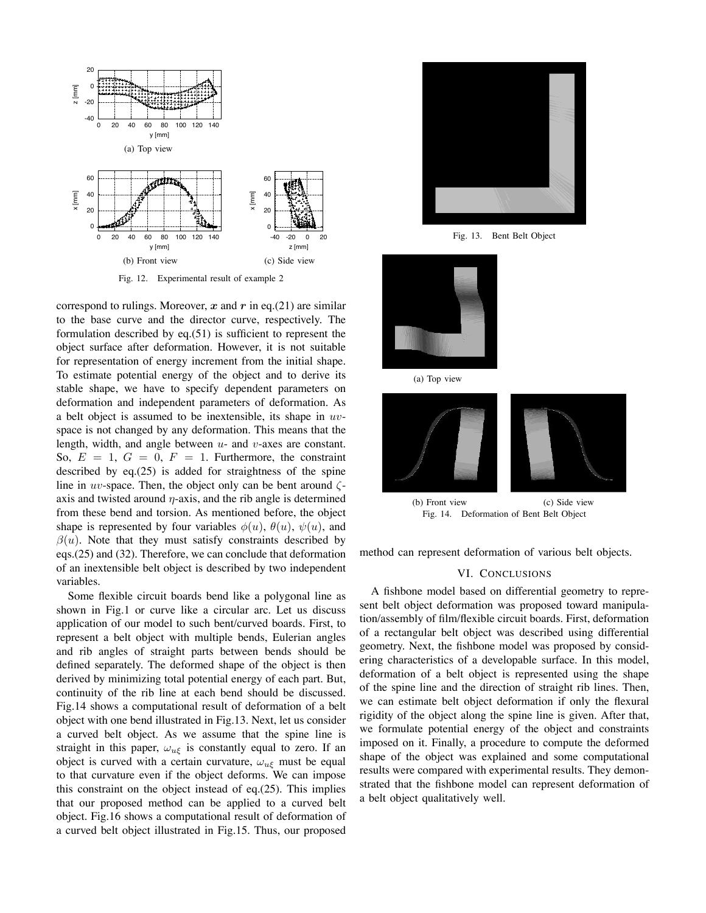

Fig. 12. Experimental result of example 2

correspond to rulings. Moreover, *x* and *r* in eq.(21) are similar to the base curve and the director curve, respectively. The formulation described by eq.(51) is sufficient to represent the object surface after deformation. However, it is not suitable for representation of energy increment from the initial shape. To estimate potential energy of the object and to derive its stable shape, we have to specify dependent parameters on deformation and independent parameters of deformation. As a belt object is assumed to be inextensible, its shape in  $uv$ space is not changed by any deformation. This means that the length, width, and angle between  $u$ - and  $v$ -axes are constant. So,  $E = 1$ ,  $G = 0$ ,  $F = 1$ . Furthermore, the constraint described by eq.(25) is added for straightness of the spine line in *uv*-space. Then, the object only can be bent around  $\zeta$ axis and twisted around  $\eta$ -axis, and the rib angle is determined from these bend and torsion. As mentioned before, the object shape is represented by four variables  $\phi(u)$ ,  $\theta(u)$ ,  $\psi(u)$ , and  $\beta(u)$ . Note that they must satisfy constraints described by eqs.(25) and (32). Therefore, we can conclude that deformation of an inextensible belt object is described by two independent variables.

Some flexible circuit boards bend like a polygonal line as shown in Fig.1 or curve like a circular arc. Let us discuss application of our model to such bent/curved boards. First, to represent a belt object with multiple bends, Eulerian angles and rib angles of straight parts between bends should be defined separately. The deformed shape of the object is then derived by minimizing total potential energy of each part. But, continuity of the rib line at each bend should be discussed. Fig.14 shows a computational result of deformation of a belt object with one bend illustrated in Fig.13. Next, let us consider a curved belt object. As we assume that the spine line is straight in this paper,  $\omega_{u\xi}$  is constantly equal to zero. If an object is curved with a certain curvature,  $\omega_{u\xi}$  must be equal to that curvature even if the object deforms. We can impose this constraint on the object instead of eq.(25). This implies that our proposed method can be applied to a curved belt object. Fig.16 shows a computational result of deformation of a curved belt object illustrated in Fig.15. Thus, our proposed



Fig. 13. Bent Belt Object



(a) Top view



(b) Front view (c) Side view Fig. 14. Deformation of Bent Belt Object

method can represent deformation of various belt objects.

# VI. CONCLUSIONS

A fishbone model based on differential geometry to represent belt object deformation was proposed toward manipulation/assembly of film/flexible circuit boards. First, deformation of a rectangular belt object was described using differential geometry. Next, the fishbone model was proposed by considering characteristics of a developable surface. In this model, deformation of a belt object is represented using the shape of the spine line and the direction of straight rib lines. Then, we can estimate belt object deformation if only the flexural rigidity of the object along the spine line is given. After that, we formulate potential energy of the object and constraints imposed on it. Finally, a procedure to compute the deformed shape of the object was explained and some computational results were compared with experimental results. They demonstrated that the fishbone model can represent deformation of a belt object qualitatively well.